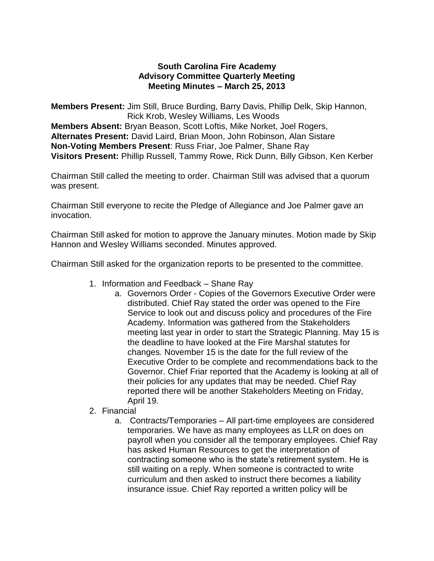## **South Carolina Fire Academy Advisory Committee Quarterly Meeting Meeting Minutes – March 25, 2013**

**Members Present:** Jim Still, Bruce Burding, Barry Davis, Phillip Delk, Skip Hannon, Rick Krob, Wesley Williams, Les Woods **Members Absent:** Bryan Beason, Scott Loftis, Mike Norket, Joel Rogers, **Alternates Present:** David Laird, Brian Moon, John Robinson, Alan Sistare **Non-Voting Members Present**: Russ Friar, Joe Palmer, Shane Ray **Visitors Present:** Phillip Russell, Tammy Rowe, Rick Dunn, Billy Gibson, Ken Kerber

Chairman Still called the meeting to order. Chairman Still was advised that a quorum was present.

Chairman Still everyone to recite the Pledge of Allegiance and Joe Palmer gave an invocation.

Chairman Still asked for motion to approve the January minutes. Motion made by Skip Hannon and Wesley Williams seconded. Minutes approved.

Chairman Still asked for the organization reports to be presented to the committee.

- 1. Information and Feedback Shane Ray
	- a. Governors Order Copies of the Governors Executive Order were distributed. Chief Ray stated the order was opened to the Fire Service to look out and discuss policy and procedures of the Fire Academy. Information was gathered from the Stakeholders meeting last year in order to start the Strategic Planning. May 15 is the deadline to have looked at the Fire Marshal statutes for changes. November 15 is the date for the full review of the Executive Order to be complete and recommendations back to the Governor. Chief Friar reported that the Academy is looking at all of their policies for any updates that may be needed. Chief Ray reported there will be another Stakeholders Meeting on Friday, April 19.
- 2. Financial
	- a. Contracts/Temporaries All part-time employees are considered temporaries. We have as many employees as LLR on does on payroll when you consider all the temporary employees. Chief Ray has asked Human Resources to get the interpretation of contracting someone who is the state's retirement system. He is still waiting on a reply. When someone is contracted to write curriculum and then asked to instruct there becomes a liability insurance issue. Chief Ray reported a written policy will be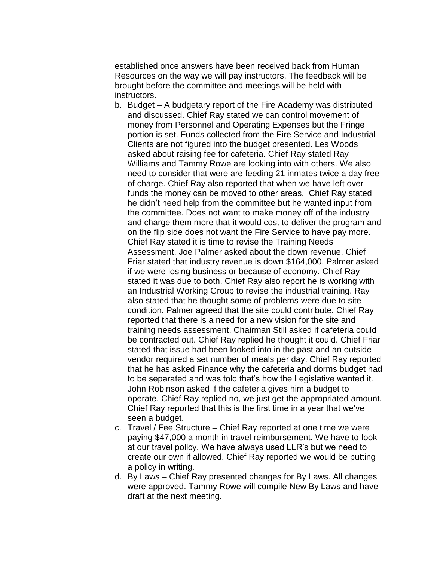established once answers have been received back from Human Resources on the way we will pay instructors. The feedback will be brought before the committee and meetings will be held with instructors.

- b. Budget A budgetary report of the Fire Academy was distributed and discussed. Chief Ray stated we can control movement of money from Personnel and Operating Expenses but the Fringe portion is set. Funds collected from the Fire Service and Industrial Clients are not figured into the budget presented. Les Woods asked about raising fee for cafeteria. Chief Ray stated Ray Williams and Tammy Rowe are looking into with others. We also need to consider that were are feeding 21 inmates twice a day free of charge. Chief Ray also reported that when we have left over funds the money can be moved to other areas. Chief Ray stated he didn't need help from the committee but he wanted input from the committee. Does not want to make money off of the industry and charge them more that it would cost to deliver the program and on the flip side does not want the Fire Service to have pay more. Chief Ray stated it is time to revise the Training Needs Assessment. Joe Palmer asked about the down revenue. Chief Friar stated that industry revenue is down \$164,000. Palmer asked if we were losing business or because of economy. Chief Ray stated it was due to both. Chief Ray also report he is working with an Industrial Working Group to revise the industrial training. Ray also stated that he thought some of problems were due to site condition. Palmer agreed that the site could contribute. Chief Ray reported that there is a need for a new vision for the site and training needs assessment. Chairman Still asked if cafeteria could be contracted out. Chief Ray replied he thought it could. Chief Friar stated that issue had been looked into in the past and an outside vendor required a set number of meals per day. Chief Ray reported that he has asked Finance why the cafeteria and dorms budget had to be separated and was told that's how the Legislative wanted it. John Robinson asked if the cafeteria gives him a budget to operate. Chief Ray replied no, we just get the appropriated amount. Chief Ray reported that this is the first time in a year that we've seen a budget.
- c. Travel / Fee Structure Chief Ray reported at one time we were paying \$47,000 a month in travel reimbursement. We have to look at our travel policy. We have always used LLR's but we need to create our own if allowed. Chief Ray reported we would be putting a policy in writing.
- d. By Laws Chief Ray presented changes for By Laws. All changes were approved. Tammy Rowe will compile New By Laws and have draft at the next meeting.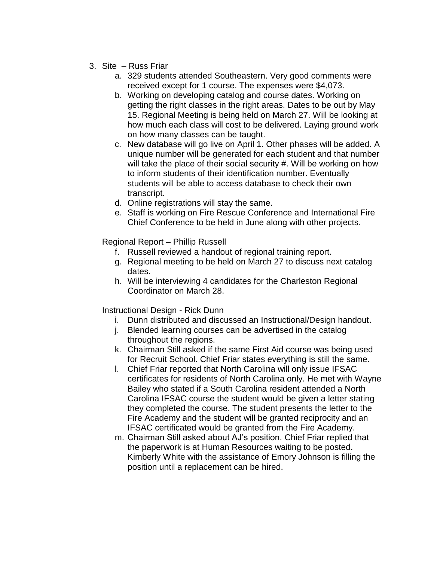- 3. Site Russ Friar
	- a. 329 students attended Southeastern. Very good comments were received except for 1 course. The expenses were \$4,073.
	- b. Working on developing catalog and course dates. Working on getting the right classes in the right areas. Dates to be out by May 15. Regional Meeting is being held on March 27. Will be looking at how much each class will cost to be delivered. Laying ground work on how many classes can be taught.
	- c. New database will go live on April 1. Other phases will be added. A unique number will be generated for each student and that number will take the place of their social security #. Will be working on how to inform students of their identification number. Eventually students will be able to access database to check their own transcript.
	- d. Online registrations will stay the same.
	- e. Staff is working on Fire Rescue Conference and International Fire Chief Conference to be held in June along with other projects.

Regional Report – Phillip Russell

- f. Russell reviewed a handout of regional training report.
- g. Regional meeting to be held on March 27 to discuss next catalog dates.
- h. Will be interviewing 4 candidates for the Charleston Regional Coordinator on March 28.

Instructional Design - Rick Dunn

- i. Dunn distributed and discussed an Instructional/Design handout.
- j. Blended learning courses can be advertised in the catalog throughout the regions.
- k. Chairman Still asked if the same First Aid course was being used for Recruit School. Chief Friar states everything is still the same.
- l. Chief Friar reported that North Carolina will only issue IFSAC certificates for residents of North Carolina only. He met with Wayne Bailey who stated if a South Carolina resident attended a North Carolina IFSAC course the student would be given a letter stating they completed the course. The student presents the letter to the Fire Academy and the student will be granted reciprocity and an IFSAC certificated would be granted from the Fire Academy.
- m. Chairman Still asked about AJ's position. Chief Friar replied that the paperwork is at Human Resources waiting to be posted. Kimberly White with the assistance of Emory Johnson is filling the position until a replacement can be hired.